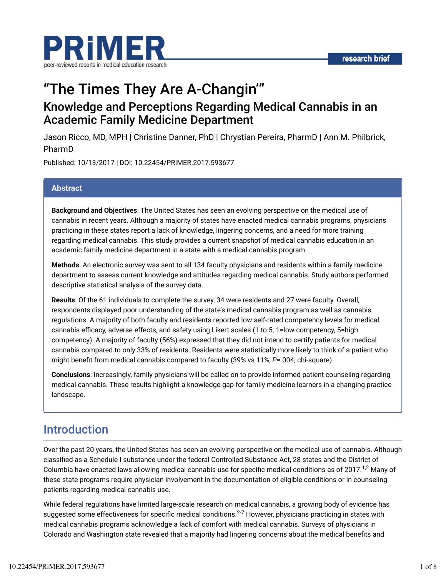

# "The Times They Are A-Changin'" Knowledge and Perceptions Regarding Medical Cannabis in an Academic Family Medicine Department

Jason Ricco, MD, MPH | Christine Danner, PhD | Chrystian Pereira, PharmD | Ann M. Philbrick, PharmD

Published: 10/13/2017 | DOI: 10.22454/PRiMER.2017.593677

#### **Abstract**

**Background and Objectives**: The United States has seen an evolving perspective on the medical use of cannabis in recent years. Although a majority of states have enacted medical cannabis programs, physicians practicing in these states report a lack of knowledge, lingering concerns, and a need for more training regarding medical cannabis. This study provides a current snapshot of medical cannabis education in an academic family medicine department in a state with a medical cannabis program.

**Methods**: An electronic survey was sent to all 134 faculty physicians and residents within a family medicine department to assess current knowledge and attitudes regarding medical cannabis. Study authors performed descriptive statistical analysis of the survey data.

**Results**: Of the 61 individuals to complete the survey, 34 were residents and 27 were faculty. Overall, respondents displayed poor understanding of the state's medical cannabis program as well as cannabis regulations. A majority of both faculty and residents reported low self-rated competency levels for medical cannabis efficacy, adverse effects, and safety using Likert scales (1 to 5; 1=low competency, 5=high competency). A majority of faculty (56%) expressed that they did not intend to certify patients for medical cannabis compared to only 33% of residents. Residents were statistically more likely to think of a patient who might benefit from medical cannabis compared to faculty (39% vs 11%, *P*=.004, chi-square).

**Conclusions**: Increasingly, family physicians will be called on to provide informed patient counseling regarding medical cannabis. These results highlight a knowledge gap for family medicine learners in a changing practice landscape.

## Introduction

Over the past 20 years, the United States has seen an evolving perspective on the medical use of cannabis. Although classified as a Schedule I substance under the federal Controlled Substance Act, 28 states and the District of Columbia have enacted laws allowing medical cannabis use for specific medical conditions as of 2017. $^{1,2}$  Many of these state programs require physician involvement in the documentation of eligible conditions or in counseling patients regarding medical cannabis use.

While federal regulations have limited large-scale research on medical cannabis, a growing body of evidence has suggested some effectiveness for specific medical conditions. $^{2\textrm{-}7}$  However, physicians practicing in states with medical cannabis programs acknowledge a lack of comfort with medical cannabis. Surveys of physicians in Colorado and Washington state revealed that a majority had lingering concerns about the medical benefits and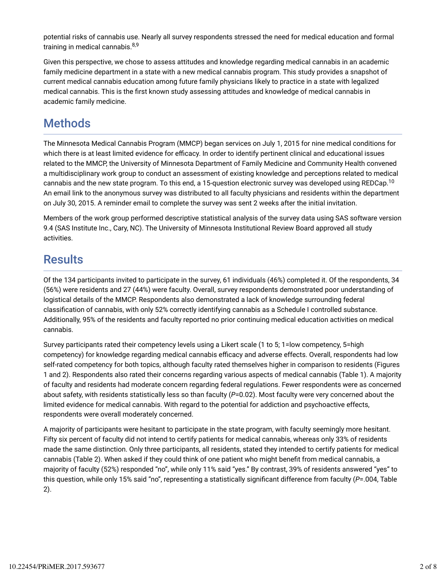potential risks of cannabis use. Nearly all survey respondents stressed the need for medical education and formal training in medical cannabis.<sup>8,9</sup>

Given this perspective, we chose to assess attitudes and knowledge regarding medical cannabis in an academic family medicine department in a state with a new medical cannabis program. This study provides a snapshot of current medical cannabis education among future family physicians likely to practice in a state with legalized medical cannabis. This is the first known study assessing attitudes and knowledge of medical cannabis in academic family medicine.

# Methods

The Minnesota Medical Cannabis Program (MMCP) began services on July 1, 2015 for nine medical conditions for which there is at least limited evidence for efficacy. In order to identify pertinent clinical and educational issues related to the MMCP, the University of Minnesota Department of Family Medicine and Community Health convened a multidisciplinary work group to conduct an assessment of existing knowledge and perceptions related to medical cannabis and the new state program. To this end, a 15-question electronic survey was developed using REDCap. $^{10}$ An email link to the anonymous survey was distributed to all faculty physicians and residents within the department on July 30, 2015. A reminder email to complete the survey was sent 2 weeks after the initial invitation.

Members of the work group performed descriptive statistical analysis of the survey data using SAS software version 9.4 (SAS Institute Inc., Cary, NC). The University of Minnesota Institutional Review Board approved all study activities.

# **Results**

Of the 134 participants invited to participate in the survey, 61 individuals (46%) completed it. Of the respondents, 34 (56%) were residents and 27 (44%) were faculty. Overall, survey respondents demonstrated poor understanding of logistical details of the MMCP. Respondents also demonstrated a lack of knowledge surrounding federal classification of cannabis, with only 52% correctly identifying cannabis as a Schedule I controlled substance. Additionally, 95% of the residents and faculty reported no prior continuing medical education activities on medical cannabis.

Survey participants rated their competency levels using a Likert scale (1 to 5; 1=low competency, 5=high competency) for knowledge regarding medical cannabis efficacy and adverse effects. Overall, respondents had low self-rated competency for both topics, although faculty rated themselves higher in comparison to residents (Figures 1 and 2). Respondents also rated their concerns regarding various aspects of medical cannabis (Table 1). A majority of faculty and residents had moderate concern regarding federal regulations. Fewer respondents were as concerned about safety, with residents statistically less so than faculty (*P*=0.02). Most faculty were very concerned about the limited evidence for medical cannabis. With regard to the potential for addiction and psychoactive effects, respondents were overall moderately concerned.

A majority of participants were hesitant to participate in the state program, with faculty seemingly more hesitant. Fifty six percent of faculty did not intend to certify patients for medical cannabis, whereas only 33% of residents made the same distinction. Only three participants, all residents, stated they intended to certify patients for medical cannabis (Table 2). When asked if they could think of one patient who might benefit from medical cannabis, a majority of faculty (52%) responded "no", while only 11% said "yes." By contrast, 39% of residents answered "yes" to this question, while only 15% said "no", representing a statistically significant difference from faculty (*P*=.004, Table 2).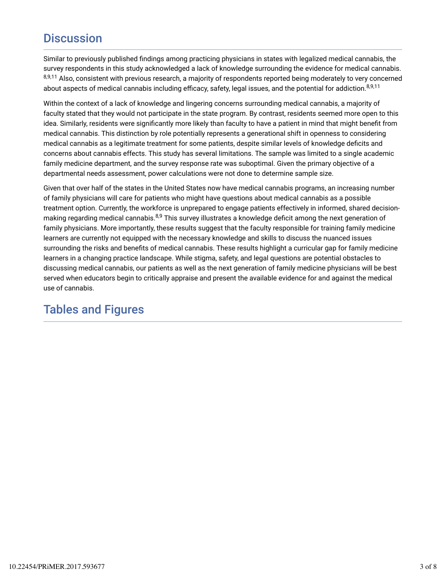# **Discussion**

Similar to previously published findings among practicing physicians in states with legalized medical cannabis, the survey respondents in this study acknowledged a lack of knowledge surrounding the evidence for medical cannabis. <sup>8,9,11</sup> Also, consistent with previous research, a majority of respondents reported being moderately to very concerned about aspects of medical cannabis including efficacy, safety, legal issues, and the potential for addiction.<sup>8,9,11</sup>

Within the context of a lack of knowledge and lingering concerns surrounding medical cannabis, a majority of faculty stated that they would not participate in the state program. By contrast, residents seemed more open to this idea. Similarly, residents were significantly more likely than faculty to have a patient in mind that might benefit from medical cannabis. This distinction by role potentially represents a generational shift in openness to considering medical cannabis as a legitimate treatment for some patients, despite similar levels of knowledge deficits and concerns about cannabis effects. This study has several limitations. The sample was limited to a single academic family medicine department, and the survey response rate was suboptimal. Given the primary objective of a departmental needs assessment, power calculations were not done to determine sample size.

Given that over half of the states in the United States now have medical cannabis programs, an increasing number of family physicians will care for patients who might have questions about medical cannabis as a possible treatment option. Currently, the workforce is unprepared to engage patients effectively in informed, shared decisionmaking regarding medical cannabis.<sup>8,9</sup> This survey illustrates a knowledge deficit among the next generation of family physicians. More importantly, these results suggest that the faculty responsible for training family medicine learners are currently not equipped with the necessary knowledge and skills to discuss the nuanced issues surrounding the risks and benefits of medical cannabis. These results highlight a curricular gap for family medicine learners in a changing practice landscape. While stigma, safety, and legal questions are potential obstacles to discussing medical cannabis, our patients as well as the next generation of family medicine physicians will be best served when educators begin to critically appraise and present the available evidence for and against the medical use of cannabis.

# Tables and Figures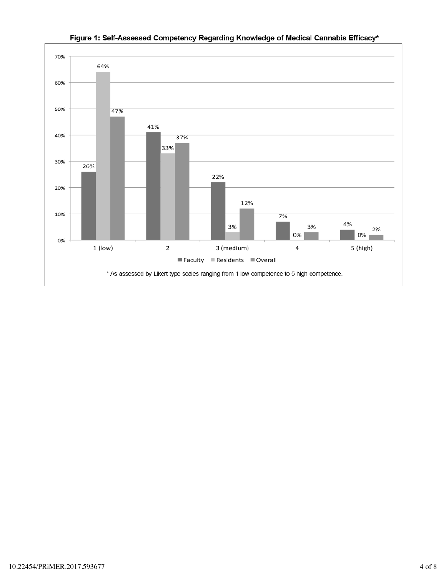

### Figure 1: Self-Assessed Competency Regarding Knowledge of Medical Cannabis Efficacy\*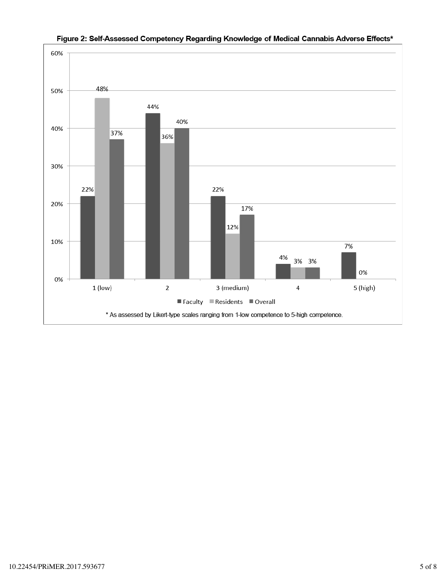

Figure 2: Self-Assessed Competency Regarding Knowledge of Medical Cannabis Adverse Effects\*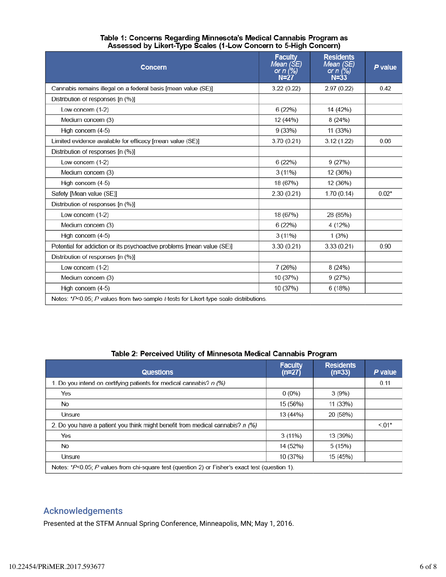| Concern                                                                               | <b>Faculty</b><br>Mean (ŠE)<br>or n (%)<br>$N=27$ | <b>Residents</b><br>Mean (SE)<br>or n $(%)$<br>$N = 33$ | P value |
|---------------------------------------------------------------------------------------|---------------------------------------------------|---------------------------------------------------------|---------|
| Cannabis remains illegal on a federal basis [mean value (SE)]                         | 3.22(0.22)                                        | 2.97 (0.22)                                             | 0.42    |
| Distribution of responses [n (%)]                                                     |                                                   |                                                         |         |
| Low concern (1-2)                                                                     | 6(22%)                                            | 14 (42%)                                                |         |
| Medium concern (3)                                                                    | 12 (44%)                                          | 8(24%)                                                  |         |
| High concern (4-5)                                                                    | 9(33%)                                            | 11 (33%)                                                |         |
| Limited evidence available for efficacy [mean value (SE)]                             | 3.70 (0.21)                                       | 3.12(1.22)                                              | 0.06    |
| Distribution of responses [n (%)]                                                     |                                                   |                                                         |         |
| Low concern (1-2)                                                                     | 6(22%)                                            | 9(27%)                                                  |         |
| Medium concern (3)                                                                    | $3(11\%)$                                         | 12 (36%)                                                |         |
| High concern (4-5)                                                                    | 18 (67%)                                          | 12 (36%)                                                |         |
| Safety [Mean value (SE)]                                                              | 2.30(0.21)                                        | 1.70(0.14)                                              | $0.02*$ |
| Distribution of responses [n (%)]                                                     |                                                   |                                                         |         |
| Low concern (1-2)                                                                     | 18 (67%)                                          | 28 (85%)                                                |         |
| Medium concern (3)                                                                    | 6(22%)                                            | 4 (12%)                                                 |         |
| High concern (4-5)                                                                    | $3(11\%)$                                         | 1(3%)                                                   |         |
| Potential for addiction or its psychoactive problems [mean value (SE)]                | 3.30(0.21)                                        | 3.33(0.21)                                              | 0.90    |
| Distribution of responses [n (%)]                                                     |                                                   |                                                         |         |
| Low concern (1-2)                                                                     | 7(26%)                                            | 8(24%)                                                  |         |
| Medium concern (3)                                                                    | 10 (37%)                                          | 9(27%)                                                  |         |
| High concern (4-5)                                                                    | 10 (37%)                                          | 6(18%)                                                  |         |
| Notes: *P<0.05; P values from two-sample t-tests for Likert-type scale distributions. |                                                   |                                                         |         |

#### Table 1: Concerns Regarding Minnesota's Medical Cannabis Program as Assessed by Likert-Type Scales (1-Low Concern to 5-High Concern)

#### Table 2: Perceived Utility of Minnesota Medical Cannabis Program

| <b>Questions</b>                                                                                   | <b>Faculty</b><br>$(n=27)$ | <b>Residents</b><br>$(n=33)$ | P value |  |
|----------------------------------------------------------------------------------------------------|----------------------------|------------------------------|---------|--|
| 1. Do you intend on certifying patients for medical cannabis? <i>n (%)</i>                         |                            |                              | 0.11    |  |
| Yes                                                                                                | $0(0\%)$                   | 3(9%)                        |         |  |
| No                                                                                                 | 15 (56%)                   | 11(33%)                      |         |  |
| Unsure                                                                                             | 13 (44%)                   | 20 (58%)                     |         |  |
| 2. Do you have a patient you think might benefit from medical cannabis? n (%)                      |                            |                              | $< 01*$ |  |
| Yes                                                                                                | $3(11\%)$                  | 13 (39%)                     |         |  |
| No                                                                                                 | 14 (52%)                   | 5(15%)                       |         |  |
| Unsure                                                                                             | 10 (37%)                   | 15 (45%)                     |         |  |
| Notes: $*P<0.05$ ; P values from chi-square test (question 2) or Fisher's exact test (question 1). |                            |                              |         |  |

## Acknowledgements

Presented at the STFM Annual Spring Conference, Minneapolis, MN; May 1, 2016.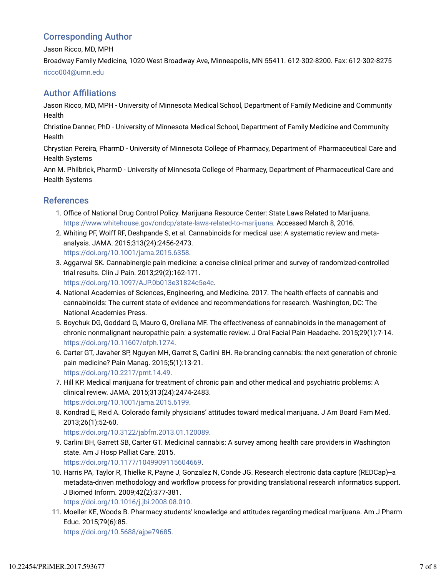## Corresponding Author

Jason Ricco, MD, MPH

Broadway Family Medicine, 1020 West Broadway Ave, Minneapolis, MN 55411. 612-302-8200. Fax: 612-302-8275 ricco004@umn.edu

## **Author Affiliations**

Jason Ricco, MD, MPH - University of Minnesota Medical School, Department of Family Medicine and Community **Health** 

Christine Danner, PhD - University of Minnesota Medical School, Department of Family Medicine and Community **Health** 

Chrystian Pereira, PharmD - University of Minnesota College of Pharmacy, Department of Pharmaceutical Care and Health Systems

Ann M. Philbrick, PharmD - University of Minnesota College of Pharmacy, Department of Pharmaceutical Care and Health Systems

## References

- 1. Office of National Drug Control Policy. Marijuana Resource Center: State Laws Related to Marijuana. https://www.whitehouse.gov/ondcp/state-laws-related-to-marijuana. Accessed March 8, 2016.
- 2. Whiting PF, Wolff RF, Deshpande S, et al. Cannabinoids for medical use: A systematic review and metaanalysis. JAMA. 2015;313(24):2456-2473. https://doi.org/10.1001/jama.2015.6358.
- 3. Aggarwal SK. Cannabinergic pain medicine: a concise clinical primer and survey of randomized-controlled trial results. Clin J Pain. 2013;29(2):162-171. https://doi.org/10.1097/AJP.0b013e31824c5e4c.
- National Academies of Sciences, Engineering, and Medicine. 2017. The health effects of cannabis and 4. cannabinoids: The current state of evidence and recommendations for research. Washington, DC: The National Academies Press.
- 5. Boychuk DG, Goddard G, Mauro G, Orellana MF. The effectiveness of cannabinoids in the management of chronic nonmalignant neuropathic pain: a systematic review. J Oral Facial Pain Headache. 2015;29(1):7-14. https://doi.org/10.11607/ofph.1274.
- 6. Carter GT, Javaher SP, Nguyen MH, Garret S, Carlini BH. Re-branding cannabis: the next generation of chronic pain medicine? Pain Manag. 2015;5(1):13-21. https://doi.org/10.2217/pmt.14.49.
- 7. Hill KP. Medical marijuana for treatment of chronic pain and other medical and psychiatric problems: A clinical review. JAMA. 2015;313(24):2474-2483. https://doi.org/10.1001/jama.2015.6199.
- 8. Kondrad E, Reid A. Colorado family physicians' attitudes toward medical marijuana. J Am Board Fam Med. 2013;26(1):52-60.

https://doi.org/10.3122/jabfm.2013.01.120089.

- 9. Carlini BH, Garrett SB, Carter GT. Medicinal cannabis: A survey among health care providers in Washington state. Am J Hosp Palliat Care. 2015. https://doi.org/10.1177/1049909115604669.
- 10. Harris PA, Taylor R, Thielke R, Payne J, Gonzalez N, Conde JG. Research electronic data capture (REDCap)--a metadata-driven methodology and workflow process for providing translational research informatics support. J Biomed Inform. 2009;42(2):377-381.

https://doi.org/10.1016/j.jbi.2008.08.010.

11. Moeller KE, Woods B. Pharmacy students' knowledge and attitudes regarding medical marijuana. Am J Pharm Educ. 2015;79(6):85.

https://doi.org/10.5688/ajpe79685.